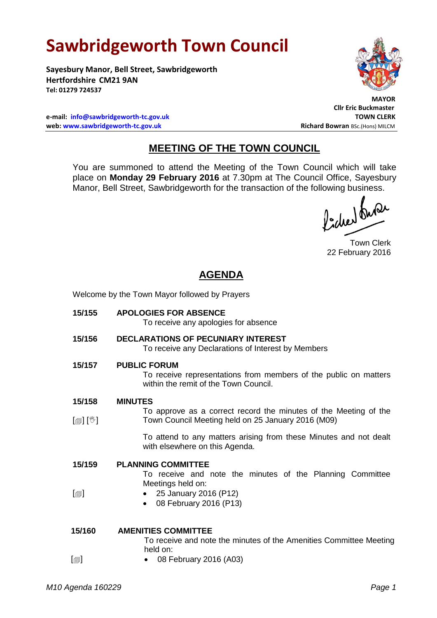# **Sawbridgeworth Town Council**

**Sayesbury Manor, Bell Street, Sawbridgeworth Hertfordshire CM21 9AN Tel: 01279 724537**



 **MAYOR**

**Cllr Eric Buckmaster**

**e-mail: [info@sawbridgeworth-tc.gov.uk](mailto:info@sawbridgeworth-tc.gov.uk) TOWN CLERK web: www.sawbridgeworth-tc.gov.uk Richard Bowran BSc.(Hons) MILCM Richard Bowran BSc.(Hons) MILCM** 

# **MEETING OF THE TOWN COUNCIL**

You are summoned to attend the Meeting of the Town Council which will take place on **Monday 29 February 2016** at 7.30pm at The Council Office, Sayesbury Manor, Bell Street, Sawbridgeworth for the transaction of the following business.<br>  $\int_0^1$ ,  $\int_0^1$ ,  $\int_0^1$ ,  $\int_0^1$ ,  $\int_0^1$ ,  $\int_0^1$ ,  $\int_0^1$ ,  $\int_0^1$ ,  $\int_0^1$ ,  $\int_0^1$ ,  $\int_0^1$ ,  $\int_0^1$ ,  $\int_0^1$ ,  $\int_0^1$ 

Town Clerk 22 February 2016

## **AGENDA**

Welcome by the Town Mayor followed by Prayers

- **15/155 APOLOGIES FOR ABSENCE** To receive any apologies for absence **15/156 DECLARATIONS OF PECUNIARY INTEREST** To receive any Declarations of Interest by Members **15/157 PUBLIC FORUM** To receive representations from members of the public on matters within the remit of the Town Council. **15/158** [創] [V] **MINUTES** To approve as a correct record the minutes of the Meeting of the Town Council Meeting held on 25 January 2016 (M09) To attend to any matters arising from these Minutes and not dealt with elsewhere on this Agenda. **15/159**  $[\blacksquare]$ **PLANNING COMMITTEE** To receive and note the minutes of the Planning Committee Meetings held on: 25 January 2016 (P12) 08 February 2016 (P13) **15/160 AMENITIES COMMITTEE** To receive and note the minutes of the Amenities Committee Meeting held on:
- $\lceil$ 08 February 2016 (A03)